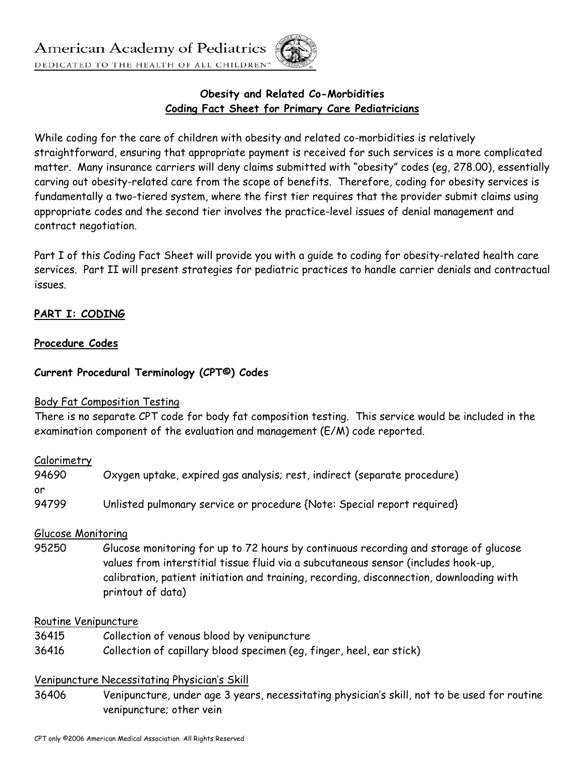# **Obesity and Related Co-Morbidities Coding Fact Sheet for Primary Care Pediatricians**

While coding for the care of children with obesity and related co-morbidities is relatively straightforward, ensuring that appropriate payment is received for such services is a more complicated matter. Many insurance carriers will deny claims submitted with "obesity" codes (eg, 278.00), essentially carving out obesity-related care from the scope of benefits. Therefore, coding for obesity services is fundamentally a two-tiered system, where the first tier requires that the provider submit claims using appropriate codes and the second tier involves the practice-level issues of denial management and contract negotiation.

Part I of this Coding Fact Sheet will provide you with a guide to coding for obesity-related health care services. Part II will present strategies for pediatric practices to handle carrier denials and contractual issues.

# **PART I: CODING**

### **Procedure Codes**

## **Current Procedural Terminology (CPT©) Codes**

### Body Fat Composition Testing

There is no separate CPT code for body fat composition testing. This service would be included in the examination component of the evaluation and management (E/M) code reported.

### Calorimetry

| 94690 | Oxygen uptake, expired gas analysis; rest, indirect (separate procedure) |
|-------|--------------------------------------------------------------------------|
| or    |                                                                          |
| 94799 | Unlisted pulmonary service or procedure {Note: Special report required}  |

### Glucose Monitoring

95250 Glucose monitoring for up to 72 hours by continuous recording and storage of glucose values from interstitial tissue fluid via a subcutaneous sensor (includes hook-up, calibration, patient initiation and training, recording, disconnection, downloading with printout of data)

#### Routine Venipuncture

- 36415 Collection of venous blood by venipuncture
- 36416 Collection of capillary blood specimen (eg, finger, heel, ear stick)

### Venipuncture Necessitating Physician's Skill

36406 Venipuncture, under age 3 years, necessitating physician's skill, not to be used for routine venipuncture; other vein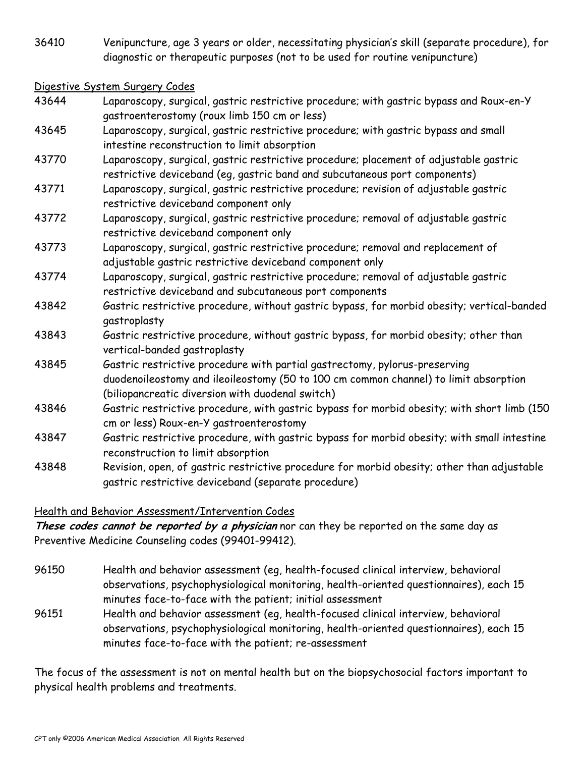36410 Venipuncture, age 3 years or older, necessitating physician's skill (separate procedure), for diagnostic or therapeutic purposes (not to be used for routine venipuncture)

#### Digestive System Surgery Codes

- 43644 Laparoscopy, surgical, gastric restrictive procedure; with gastric bypass and Roux-en-Y gastroenterostomy (roux limb 150 cm or less)
- 43645 Laparoscopy, surgical, gastric restrictive procedure; with gastric bypass and small intestine reconstruction to limit absorption
- 43770 Laparoscopy, surgical, gastric restrictive procedure; placement of adjustable gastric restrictive deviceband (eg, gastric band and subcutaneous port components)
- 43771 Laparoscopy, surgical, gastric restrictive procedure; revision of adjustable gastric restrictive deviceband component only
- 43772 Laparoscopy, surgical, gastric restrictive procedure; removal of adjustable gastric restrictive deviceband component only
- 43773 Laparoscopy, surgical, gastric restrictive procedure; removal and replacement of adjustable gastric restrictive deviceband component only
- 43774 Laparoscopy, surgical, gastric restrictive procedure; removal of adjustable gastric restrictive deviceband and subcutaneous port components
- 43842 Gastric restrictive procedure, without gastric bypass, for morbid obesity; vertical-banded gastroplasty
- 43843 Gastric restrictive procedure, without gastric bypass, for morbid obesity; other than vertical-banded gastroplasty
- 43845 Gastric restrictive procedure with partial gastrectomy, pylorus-preserving duodenoileostomy and ileoileostomy (50 to 100 cm common channel) to limit absorption (biliopancreatic diversion with duodenal switch)
- 43846 Gastric restrictive procedure, with gastric bypass for morbid obesity; with short limb (150 cm or less) Roux-en-Y gastroenterostomy
- 43847 Gastric restrictive procedure, with gastric bypass for morbid obesity; with small intestine reconstruction to limit absorption
- 43848 Revision, open, of gastric restrictive procedure for morbid obesity; other than adjustable gastric restrictive deviceband (separate procedure)

# Health and Behavior Assessment/Intervention Codes

**These codes cannot be reported by a physician** nor can they be reported on the same day as Preventive Medicine Counseling codes (99401-99412).

- 96150 Health and behavior assessment (eg, health-focused clinical interview, behavioral observations, psychophysiological monitoring, health-oriented questionnaires), each 15 minutes face-to-face with the patient; initial assessment
- 96151 Health and behavior assessment (eg, health-focused clinical interview, behavioral observations, psychophysiological monitoring, health-oriented questionnaires), each 15 minutes face-to-face with the patient; re-assessment

The focus of the assessment is not on mental health but on the biopsychosocial factors important to physical health problems and treatments.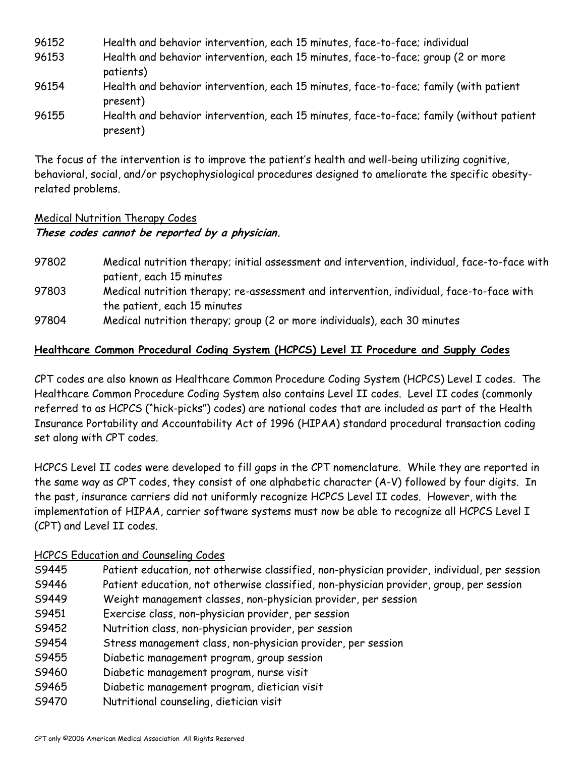| 96152 | Health and behavior intervention, each 15 minutes, face-to-face; individual                          |
|-------|------------------------------------------------------------------------------------------------------|
| 96153 | Health and behavior intervention, each 15 minutes, face-to-face; group (2 or more<br>patients)       |
| 96154 | Health and behavior intervention, each 15 minutes, face-to-face; family (with patient<br>present)    |
| 96155 | Health and behavior intervention, each 15 minutes, face-to-face; family (without patient<br>present) |

The focus of the intervention is to improve the patient's health and well-being utilizing cognitive, behavioral, social, and/or psychophysiological procedures designed to ameliorate the specific obesityrelated problems.

# Medical Nutrition Therapy Codes **These codes cannot be reported by a physician.**

- 97802 Medical nutrition therapy; initial assessment and intervention, individual, face-to-face with patient, each 15 minutes 97803 Medical nutrition therapy; re-assessment and intervention, individual, face-to-face with the patient, each 15 minutes
- 97804 Medical nutrition therapy; group (2 or more individuals), each 30 minutes

# **Healthcare Common Procedural Coding System (HCPCS) Level II Procedure and Supply Codes**

CPT codes are also known as Healthcare Common Procedure Coding System (HCPCS) Level I codes. The Healthcare Common Procedure Coding System also contains Level II codes. Level II codes (commonly referred to as HCPCS ("hick-picks") codes) are national codes that are included as part of the Health Insurance Portability and Accountability Act of 1996 (HIPAA) standard procedural transaction coding set along with CPT codes.

HCPCS Level II codes were developed to fill gaps in the CPT nomenclature. While they are reported in the same way as CPT codes, they consist of one alphabetic character (A-V) followed by four digits. In the past, insurance carriers did not uniformly recognize HCPCS Level II codes. However, with the implementation of HIPAA, carrier software systems must now be able to recognize all HCPCS Level I (CPT) and Level II codes.

# HCPCS Education and Counseling Codes

- S9445 Patient education, not otherwise classified, non-physician provider, individual, per session
- S9446 Patient education, not otherwise classified, non-physician provider, group, per session
- S9449 Weight management classes, non-physician provider, per session
- S9451 Exercise class, non-physician provider, per session
- S9452 Nutrition class, non-physician provider, per session
- S9454 Stress management class, non-physician provider, per session
- S9455 Diabetic management program, group session
- S9460 Diabetic management program, nurse visit
- S9465 Diabetic management program, dietician visit
- S9470 Nutritional counseling, dietician visit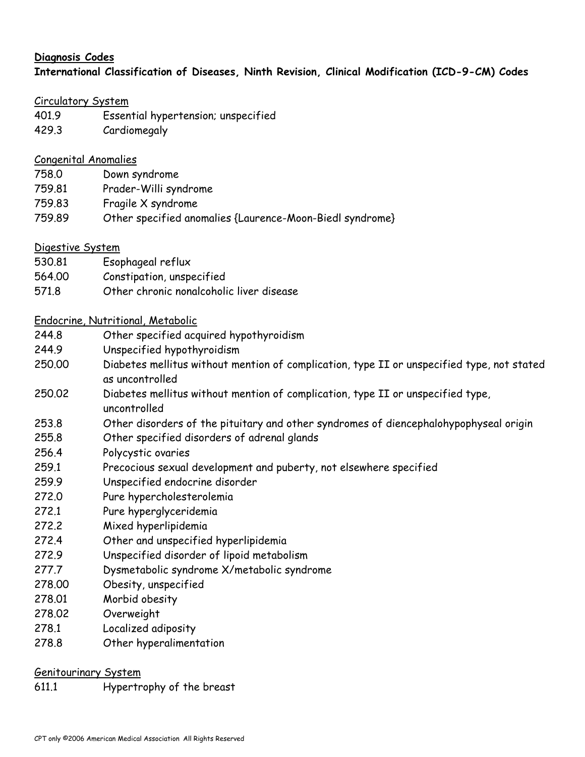# **Diagnosis Codes International Classification of Diseases, Ninth Revision, Clinical Modification (ICD-9-CM) Codes**

### Circulatory System

- 401.9 Essential hypertension; unspecified
- 429.3 Cardiomegaly

## Congenital Anomalies

- 758.0 Down syndrome
- 759.81 Prader-Willi syndrome
- 759.83 Fragile X syndrome
- 759.89 Other specified anomalies {Laurence-Moon-Biedl syndrome}

# Digestive System

- 530.81 Esophageal reflux
- 564.00 Constipation, unspecified
- 571.8 Other chronic nonalcoholic liver disease

## Endocrine, Nutritional, Metabolic

- 244.8 Other specified acquired hypothyroidism
- 244.9 Unspecified hypothyroidism
- 250.00 Diabetes mellitus without mention of complication, type II or unspecified type, not stated as uncontrolled
- 250.02 Diabetes mellitus without mention of complication, type II or unspecified type, uncontrolled
- 253.8 Other disorders of the pituitary and other syndromes of diencephalohypophyseal origin
- 255.8 Other specified disorders of adrenal glands
- 256.4 Polycystic ovaries
- 259.1 Precocious sexual development and puberty, not elsewhere specified
- 259.9 Unspecified endocrine disorder
- 272.0 Pure hypercholesterolemia
- 272.1 Pure hyperglyceridemia
- 272.2 Mixed hyperlipidemia
- 272.4 Other and unspecified hyperlipidemia
- 272.9 Unspecified disorder of lipoid metabolism
- 277.7 Dysmetabolic syndrome X/metabolic syndrome
- 278.00 Obesity, unspecified
- 278.01 Morbid obesity
- 278.02 Overweight
- 278.1 Localized adiposity
- 278.8 Other hyperalimentation

### Genitourinary System

611.1 Hypertrophy of the breast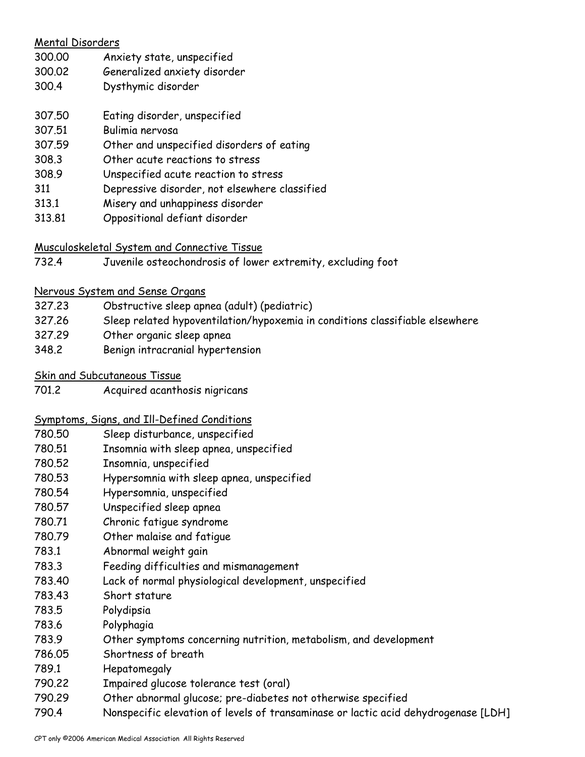| <b>Mental Disorders</b> |                                               |  |  |
|-------------------------|-----------------------------------------------|--|--|
| 300.00                  | Anxiety state, unspecified                    |  |  |
| 300.02                  | Generalized anxiety disorder                  |  |  |
| 300.4                   | Dysthymic disorder                            |  |  |
| 307.50                  | Eating disorder, unspecified                  |  |  |
| 307.51                  | Bulimia nervosa                               |  |  |
| 307.59                  | Other and unspecified disorders of eating     |  |  |
| 308.3                   | Other acute reactions to stress               |  |  |
| 308.9                   | Unspecified acute reaction to stress          |  |  |
| 311                     | Depressive disorder, not elsewhere classified |  |  |
| 313.1                   | Misery and unhappiness disorder               |  |  |
| 313.81                  | Oppositional defiant disorder                 |  |  |
|                         |                                               |  |  |

## Musculoskeletal System and Connective Tissue

732.4 Juvenile osteochondrosis of lower extremity, excluding foot

### Nervous System and Sense Organs

- 327.23 Obstructive sleep apnea (adult) (pediatric)
- 327.26 Sleep related hypoventilation/hypoxemia in conditions classifiable elsewhere
- 327.29 Other organic sleep apnea
- 348.2 Benign intracranial hypertension
- Skin and Subcutaneous Tissue
- 701.2 Acquired acanthosis nigricans

### Symptoms, Signs, and Ill-Defined Conditions

- 780.50 Sleep disturbance, unspecified
- 780.51 Insomnia with sleep apnea, unspecified
- 780.52 Insomnia, unspecified
- 780.53 Hypersomnia with sleep apnea, unspecified
- 780.54 Hypersomnia, unspecified
- 780.57 Unspecified sleep apnea
- 780.71 Chronic fatigue syndrome
- 780.79 Other malaise and fatigue
- 783.1 Abnormal weight gain
- 783.3 Feeding difficulties and mismanagement
- 783.40 Lack of normal physiological development, unspecified
- 783.43 Short stature
- 783.5 Polydipsia
- 783.6 Polyphagia
- 783.9 Other symptoms concerning nutrition, metabolism, and development
- 786.05 Shortness of breath
- 789.1 Hepatomegaly
- 790.22 Impaired glucose tolerance test (oral)
- 790.29 Other abnormal glucose; pre-diabetes not otherwise specified
- 790.4 Nonspecific elevation of levels of transaminase or lactic acid dehydrogenase [LDH]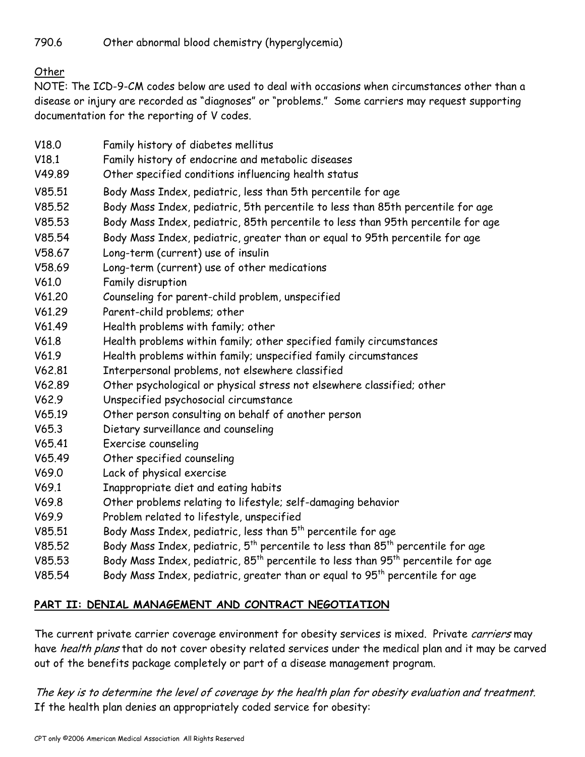790.6 Other abnormal blood chemistry (hyperglycemia)

Other

NOTE: The ICD-9-CM codes below are used to deal with occasions when circumstances other than a disease or injury are recorded as "diagnoses" or "problems." Some carriers may request supporting documentation for the reporting of V codes.

- V18.0 Family history of diabetes mellitus
- V18.1 Family history of endocrine and metabolic diseases
- V49.89 Other specified conditions influencing health status
- V85.51 Body Mass Index, pediatric, less than 5th percentile for age
- V85.52 Body Mass Index, pediatric, 5th percentile to less than 85th percentile for age
- V85.53 Body Mass Index, pediatric, 85th percentile to less than 95th percentile for age
- V85.54 Body Mass Index, pediatric, greater than or equal to 95th percentile for age
- V58.67 Long-term (current) use of insulin
- V58.69 Long-term (current) use of other medications
- V61.0 Family disruption
- V61.20 Counseling for parent-child problem, unspecified
- V61.29 Parent-child problems; other
- V61.49 Health problems with family; other
- V61.8 Health problems within family; other specified family circumstances
- V61.9 Health problems within family; unspecified family circumstances
- V62.81 Interpersonal problems, not elsewhere classified
- V62.89 Other psychological or physical stress not elsewhere classified; other
- V62.9 Unspecified psychosocial circumstance
- V65.19 Other person consulting on behalf of another person
- V65.3 Dietary surveillance and counseling
- V65.41 Exercise counseling
- V65.49 Other specified counseling
- V69.0 Lack of physical exercise
- V69.1 Inappropriate diet and eating habits
- V69.8 Other problems relating to lifestyle; self-damaging behavior
- V69.9 Problem related to lifestyle, unspecified
- V85.51 Body Mass Index, pediatric, less than  $5<sup>th</sup>$  percentile for age
- V85.52 Body Mass Index, pediatric,  $5^{th}$  percentile to less than  $85^{th}$  percentile for age
- V85.53 Body Mass Index, pediatric,  $85<sup>th</sup>$  percentile to less than  $95<sup>th</sup>$  percentile for age
- V85.54 Body Mass Index, pediatric, greater than or equal to  $95<sup>th</sup>$  percentile for age

# **PART II: DENIAL MANAGEMENT AND CONTRACT NEGOTIATION**

The current private carrier coverage environment for obesity services is mixed. Private *carriers* may have *health plans* that do not cover obesity related services under the medical plan and it may be carved out of the benefits package completely or part of a disease management program.

The key is to determine the level of coverage by the health plan for obesity evaluation and treatment. If the health plan denies an appropriately coded service for obesity: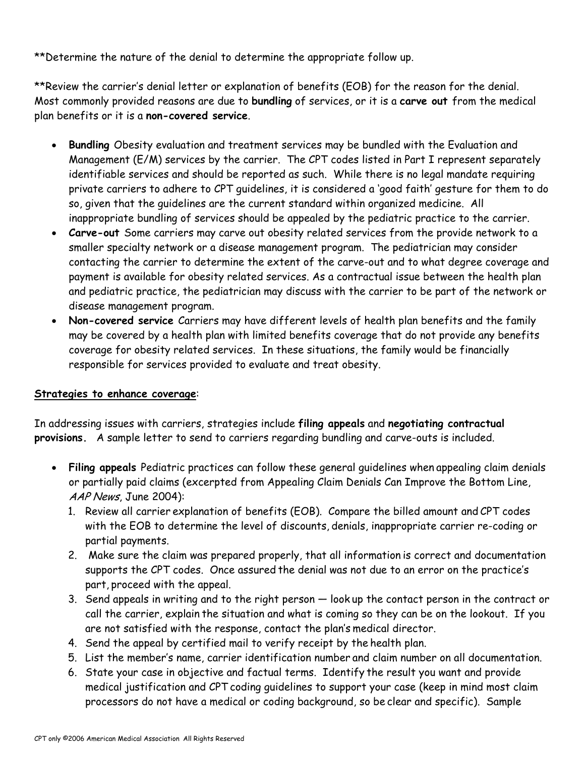\*\*Determine the nature of the denial to determine the appropriate follow up.

\*\*Review the carrier's denial letter or explanation of benefits (EOB) for the reason for the denial. Most commonly provided reasons are due to **bundling** of services, or it is a **carve out** from the medical plan benefits or it is a **non-covered service**.

- **Bundling** Obesity evaluation and treatment services may be bundled with the Evaluation and Management (E/M) services by the carrier. The CPT codes listed in Part I represent separately identifiable services and should be reported as such. While there is no legal mandate requiring private carriers to adhere to CPT guidelines, it is considered a 'good faith' gesture for them to do so, given that the guidelines are the current standard within organized medicine. All inappropriate bundling of services should be appealed by the pediatric practice to the carrier.
- **Carve-out** Some carriers may carve out obesity related services from the provide network to a smaller specialty network or a disease management program. The pediatrician may consider contacting the carrier to determine the extent of the carve-out and to what degree coverage and payment is available for obesity related services. As a contractual issue between the health plan and pediatric practice, the pediatrician may discuss with the carrier to be part of the network or disease management program.
- **Non-covered service** Carriers may have different levels of health plan benefits and the family may be covered by a health plan with limited benefits coverage that do not provide any benefits coverage for obesity related services. In these situations, the family would be financially responsible for services provided to evaluate and treat obesity.

### **Strategies to enhance coverage**:

In addressing issues with carriers, strategies include **filing appeals** and **negotiating contractual provisions.** A sample letter to send to carriers regarding bundling and carve-outs is included.

- **Filing appeals** Pediatric practices can follow these general guidelines when appealing claim denials or partially paid claims (excerpted from Appealing Claim Denials Can Improve the Bottom Line, AAP News, June 2004):
	- 1. Review all carrier explanation of benefits (EOB). Compare the billed amount and CPT codes with the EOB to determine the level of discounts, denials, inappropriate carrier re-coding or partial payments.
	- 2. Make sure the claim was prepared properly, that all information is correct and documentation supports the CPT codes. Once assured the denial was not due to an error on the practice's part, proceed with the appeal.
	- 3. Send appeals in writing and to the right person look up the contact person in the contract or call the carrier, explain the situation and what is coming so they can be on the lookout. If you are not satisfied with the response, contact the plan's medical director.
	- 4. Send the appeal by certified mail to verify receipt by the health plan.
	- 5. List the member's name, carrier identification number and claim number on all documentation.
	- 6. State your case in objective and factual terms. Identify the result you want and provide medical justification and CPT coding guidelines to support your case (keep in mind most claim processors do not have a medical or coding background, so be clear and specific). Sample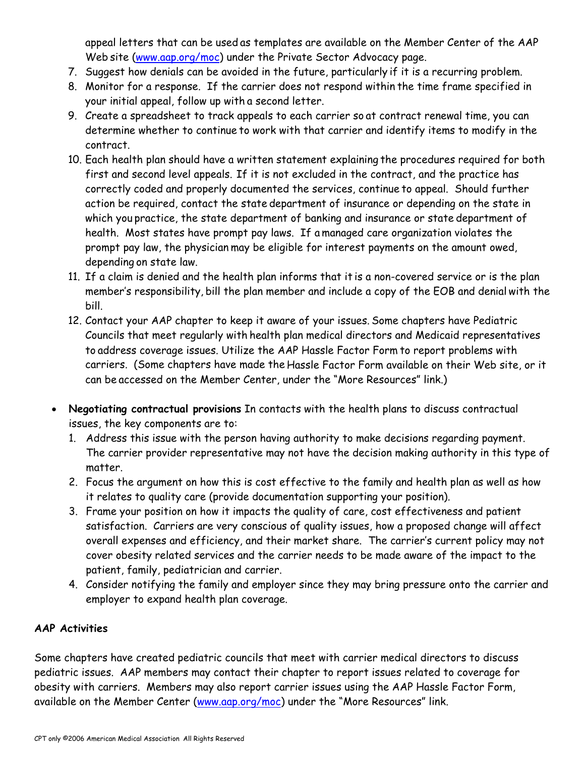appeal letters that can be used as templates are available on the Member Center of the AAP Web site (www.aap.org/moc) under the Private Sector Advocacy page.

- 7. Suggest how denials can be avoided in the future, particularly if it is a recurring problem.
- 8. Monitor for a response. If the carrier does not respond within the time frame specified in your initial appeal, follow up with a second letter.
- 9. Create a spreadsheet to track appeals to each carrier so at contract renewal time, you can determine whether to continue to work with that carrier and identify items to modify in the contract.
- 10. Each health plan should have a written statement explaining the procedures required for both first and second level appeals. If it is not excluded in the contract, and the practice has correctly coded and properly documented the services, continue to appeal. Should further action be required, contact the state department of insurance or depending on the state in which you practice, the state department of banking and insurance or state department of health. Most states have prompt pay laws. If a managed care organization violates the prompt pay law, the physician may be eligible for interest payments on the amount owed, depending on state law.
- 11. If a claim is denied and the health plan informs that it is a non-covered service or is the plan member's responsibility, bill the plan member and include a copy of the EOB and denial with the bill.
- 12. Contact your AAP chapter to keep it aware of your issues. Some chapters have Pediatric Councils that meet regularly with health plan medical directors and Medicaid representatives to address coverage issues. Utilize the AAP Hassle Factor Form to report problems with carriers. (Some chapters have made the Hassle Factor Form available on their Web site, or it can be accessed on the Member Center, under the "More Resources" link.)
- **Negotiating contractual provisions** In contacts with the health plans to discuss contractual issues, the key components are to:
	- 1. Address this issue with the person having authority to make decisions regarding payment. The carrier provider representative may not have the decision making authority in this type of matter.
	- 2. Focus the argument on how this is cost effective to the family and health plan as well as how it relates to quality care (provide documentation supporting your position).
	- 3. Frame your position on how it impacts the quality of care, cost effectiveness and patient satisfaction. Carriers are very conscious of quality issues, how a proposed change will affect overall expenses and efficiency, and their market share. The carrier's current policy may not cover obesity related services and the carrier needs to be made aware of the impact to the patient, family, pediatrician and carrier.
	- 4. Consider notifying the family and employer since they may bring pressure onto the carrier and employer to expand health plan coverage.

# **AAP Activities**

Some chapters have created pediatric councils that meet with carrier medical directors to discuss pediatric issues. AAP members may contact their chapter to report issues related to coverage for obesity with carriers. Members may also report carrier issues using the AAP Hassle Factor Form, available on the Member Center (www.aap.org/moc) under the "More Resources" link.